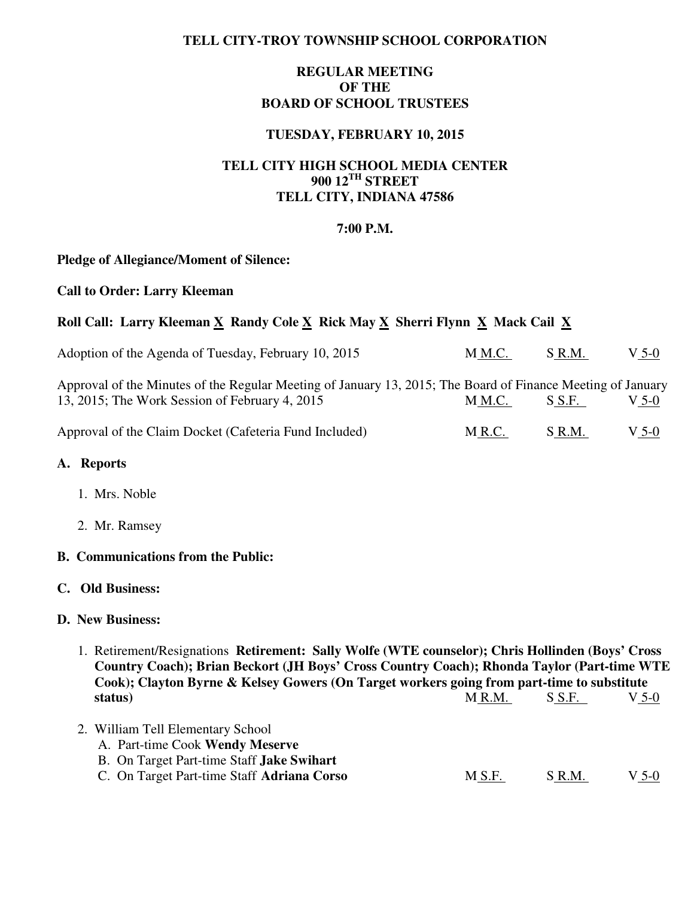# **TELL CITY-TROY TOWNSHIP SCHOOL CORPORATION**

# **REGULAR MEETING OF THE BOARD OF SCHOOL TRUSTEES**

## **TUESDAY, FEBRUARY 10, 2015**

# **TELL CITY HIGH SCHOOL MEDIA CENTER 900 12TH STREET TELL CITY, INDIANA 47586**

#### **7:00 P.M.**

#### **Pledge of Allegiance/Moment of Silence:**

#### **Call to Order: Larry Kleeman**

# Roll Call: Larry Kleeman X Randy Cole X Rick May X Sherri Flynn X Mack Cail X

| Adoption of the Agenda of Tuesday, February 10, 2015                                                                                                          | M M.C. | S R.M. | V 5-0 |
|---------------------------------------------------------------------------------------------------------------------------------------------------------------|--------|--------|-------|
| Approval of the Minutes of the Regular Meeting of January 13, 2015; The Board of Finance Meeting of January<br>13, 2015; The Work Session of February 4, 2015 | M M.C. | S S.F. | V 5-0 |
| Approval of the Claim Docket (Cafeteria Fund Included)                                                                                                        | M R.C. | S R.M. | V 5-0 |

#### **A. Reports**

- 1. Mrs. Noble
- 2. Mr. Ramsey

#### **B. Communications from the Public:**

# **C. Old Business:**

## **D. New Business:**

- 1. Retirement/Resignations **Retirement: Sally Wolfe (WTE counselor); Chris Hollinden (Boys' Cross Country Coach); Brian Beckort (JH Boys' Cross Country Coach); Rhonda Taylor (Part-time WTE Cook); Clayton Byrne & Kelsey Gowers (On Target workers going from part-time to substitute status**) M<u>R.M. S S.F. V 5-0</u>
- 2. William Tell Elementary School A. Part-time Cook **Wendy Meserve** 
	- B. On Target Part-time Staff **Jake Swihart**
	- C. On Target Part-time Staff **Adriana Corso** M S.F. S R.M. V 5-0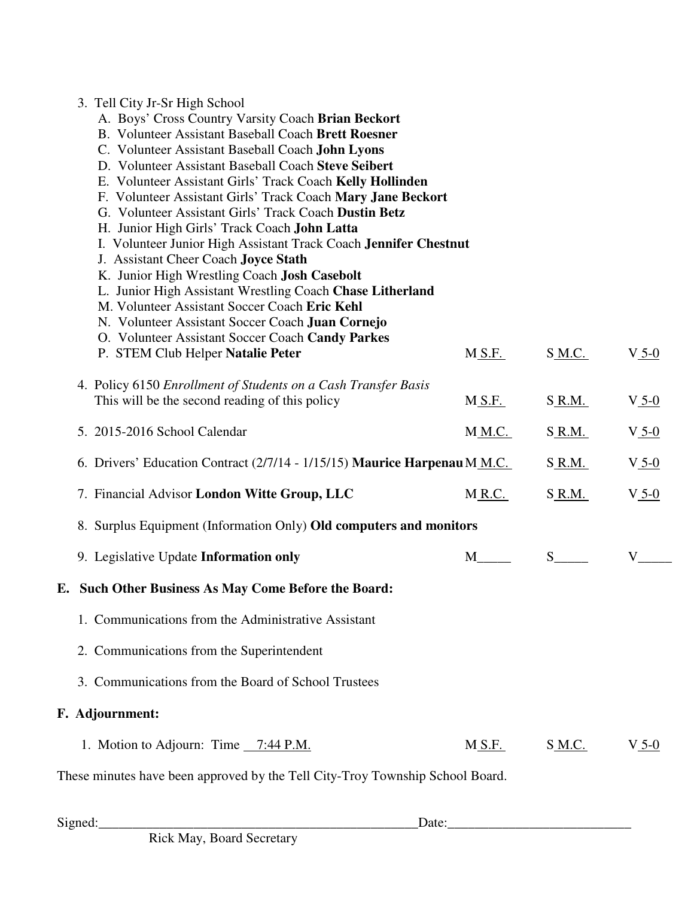| 3. Tell City Jr-Sr High School<br>A. Boys' Cross Country Varsity Coach Brian Beckort<br><b>B.</b> Volunteer Assistant Baseball Coach Brett Roesner<br>C. Volunteer Assistant Baseball Coach John Lyons<br>D. Volunteer Assistant Baseball Coach Steve Seibert<br>E. Volunteer Assistant Girls' Track Coach Kelly Hollinden<br>F. Volunteer Assistant Girls' Track Coach Mary Jane Beckort<br>G. Volunteer Assistant Girls' Track Coach Dustin Betz<br>H. Junior High Girls' Track Coach John Latta<br>I. Volunteer Junior High Assistant Track Coach Jennifer Chestnut<br>J. Assistant Cheer Coach Joyce Stath<br>K. Junior High Wrestling Coach Josh Casebolt<br>L. Junior High Assistant Wrestling Coach Chase Litherland<br>M. Volunteer Assistant Soccer Coach Eric Kehl |               |                       |            |
|------------------------------------------------------------------------------------------------------------------------------------------------------------------------------------------------------------------------------------------------------------------------------------------------------------------------------------------------------------------------------------------------------------------------------------------------------------------------------------------------------------------------------------------------------------------------------------------------------------------------------------------------------------------------------------------------------------------------------------------------------------------------------|---------------|-----------------------|------------|
| N. Volunteer Assistant Soccer Coach Juan Cornejo<br>O. Volunteer Assistant Soccer Coach Candy Parkes                                                                                                                                                                                                                                                                                                                                                                                                                                                                                                                                                                                                                                                                         |               |                       |            |
| P. STEM Club Helper Natalie Peter                                                                                                                                                                                                                                                                                                                                                                                                                                                                                                                                                                                                                                                                                                                                            | <u>M S.F.</u> | $S$ <sub>M.C.</sub>   | $V_5-0$    |
| 4. Policy 6150 Enrollment of Students on a Cash Transfer Basis<br>This will be the second reading of this policy                                                                                                                                                                                                                                                                                                                                                                                                                                                                                                                                                                                                                                                             | M S.F.        | S_R.M.                | $V_5-0$    |
| 5. 2015-2016 School Calendar                                                                                                                                                                                                                                                                                                                                                                                                                                                                                                                                                                                                                                                                                                                                                 | <u>M M.C.</u> | S_R.M.                | $V_{.5-0}$ |
| 6. Drivers' Education Contract (2/7/14 - 1/15/15) Maurice Harpenau M M.C.                                                                                                                                                                                                                                                                                                                                                                                                                                                                                                                                                                                                                                                                                                    |               | S R.M.                | $V_{.5-0}$ |
| 7. Financial Advisor London Witte Group, LLC                                                                                                                                                                                                                                                                                                                                                                                                                                                                                                                                                                                                                                                                                                                                 | $M$ R.C.      | S_R.M.                | $V_{.5-0}$ |
| 8. Surplus Equipment (Information Only) Old computers and monitors                                                                                                                                                                                                                                                                                                                                                                                                                                                                                                                                                                                                                                                                                                           |               |                       |            |
| 9. Legislative Update Information only                                                                                                                                                                                                                                                                                                                                                                                                                                                                                                                                                                                                                                                                                                                                       |               | $S$ <sub>______</sub> | V          |
| E. Such Other Business As May Come Before the Board:                                                                                                                                                                                                                                                                                                                                                                                                                                                                                                                                                                                                                                                                                                                         |               |                       |            |
| 1. Communications from the Administrative Assistant                                                                                                                                                                                                                                                                                                                                                                                                                                                                                                                                                                                                                                                                                                                          |               |                       |            |
| 2. Communications from the Superintendent                                                                                                                                                                                                                                                                                                                                                                                                                                                                                                                                                                                                                                                                                                                                    |               |                       |            |
| 3. Communications from the Board of School Trustees                                                                                                                                                                                                                                                                                                                                                                                                                                                                                                                                                                                                                                                                                                                          |               |                       |            |
| F. Adjournment:                                                                                                                                                                                                                                                                                                                                                                                                                                                                                                                                                                                                                                                                                                                                                              |               |                       |            |
| 1. Motion to Adjourn: Time 7:44 P.M.                                                                                                                                                                                                                                                                                                                                                                                                                                                                                                                                                                                                                                                                                                                                         | M S.F.        | S M.C.                | $V_5-0$    |
| These minutes have been approved by the Tell City-Troy Township School Board.                                                                                                                                                                                                                                                                                                                                                                                                                                                                                                                                                                                                                                                                                                |               |                       |            |
|                                                                                                                                                                                                                                                                                                                                                                                                                                                                                                                                                                                                                                                                                                                                                                              |               |                       |            |